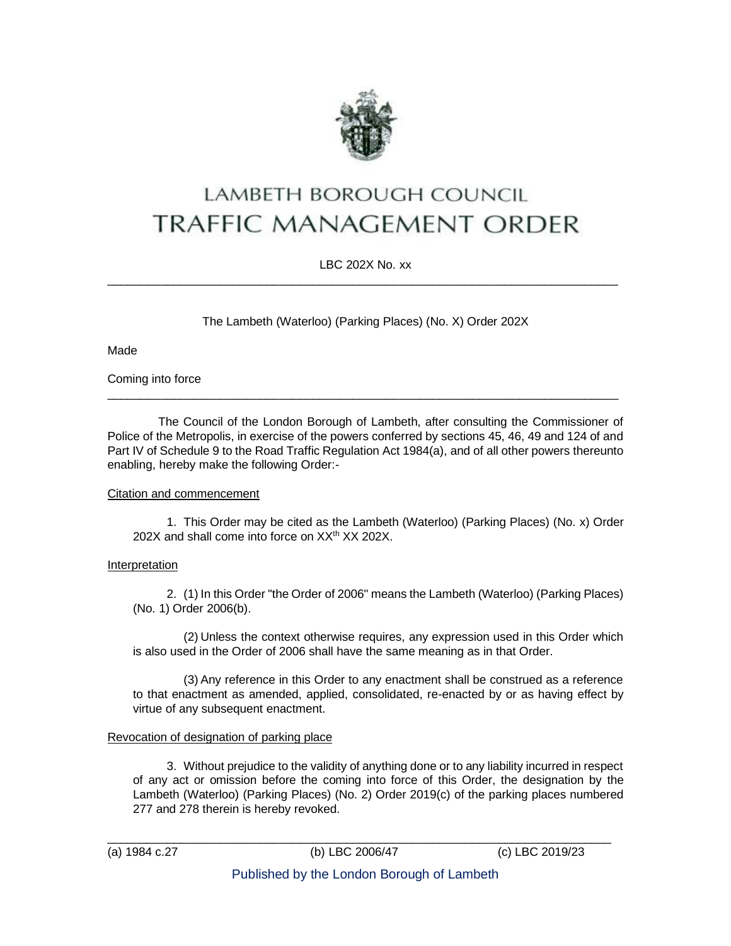

# LAMBETH BOROUGH COUNCIL **TRAFFIC MANAGEMENT ORDER**

LBC 202X No. xx \_\_\_\_\_\_\_\_\_\_\_\_\_\_\_\_\_\_\_\_\_\_\_\_\_\_\_\_\_\_\_\_\_\_\_\_\_\_\_\_\_\_\_\_\_\_\_\_\_\_\_\_\_\_\_\_\_\_\_\_\_\_\_\_\_\_\_\_\_\_\_\_\_\_\_\_\_

The Lambeth (Waterloo) (Parking Places) (No. X) Order 202X

Made

Coming into force

The Council of the London Borough of Lambeth, after consulting the Commissioner of Police of the Metropolis, in exercise of the powers conferred by sections 45, 46, 49 and 124 of and Part IV of Schedule 9 to the Road Traffic Regulation Act 1984(a), and of all other powers thereunto enabling, hereby make the following Order:-

 $\_$  ,  $\_$  ,  $\_$  ,  $\_$  ,  $\_$  ,  $\_$  ,  $\_$  ,  $\_$  ,  $\_$  ,  $\_$  ,  $\_$  ,  $\_$  ,  $\_$  ,  $\_$  ,  $\_$  ,  $\_$  ,  $\_$  ,  $\_$  ,  $\_$  ,  $\_$  ,  $\_$  ,  $\_$  ,  $\_$  ,  $\_$  ,  $\_$  ,  $\_$  ,  $\_$  ,  $\_$  ,  $\_$  ,  $\_$  ,  $\_$  ,  $\_$  ,  $\_$  ,  $\_$  ,  $\_$  ,  $\_$  ,  $\_$  ,

# Citation and commencement

1. This Order may be cited as the Lambeth (Waterloo) (Parking Places) (No. x) Order 202X and shall come into force on XX<sup>th</sup> XX 202X.

# **Interpretation**

2. (1) In this Order "the Order of 2006" means the Lambeth (Waterloo) (Parking Places) (No. 1) Order 2006(b).

(2) Unless the context otherwise requires, any expression used in this Order which is also used in the Order of 2006 shall have the same meaning as in that Order.

(3) Any reference in this Order to any enactment shall be construed as a reference to that enactment as amended, applied, consolidated, re-enacted by or as having effect by virtue of any subsequent enactment.

# Revocation of designation of parking place

3. Without prejudice to the validity of anything done or to any liability incurred in respect of any act or omission before the coming into force of this Order, the designation by the Lambeth (Waterloo) (Parking Places) (No. 2) Order 2019(c) of the parking places numbered 277 and 278 therein is hereby revoked.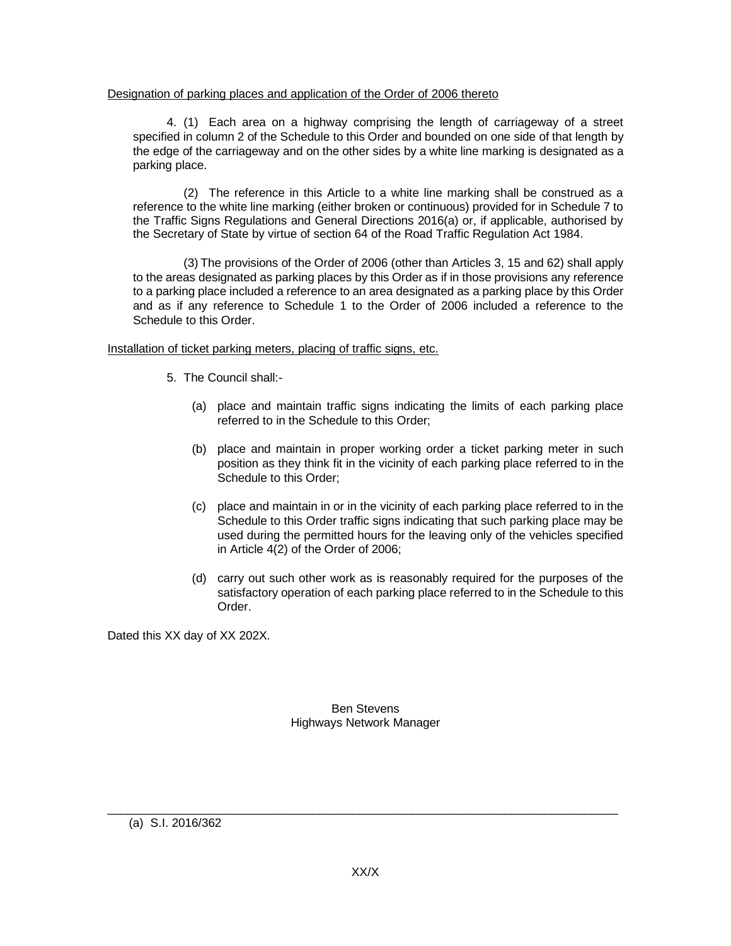## Designation of parking places and application of the Order of 2006 thereto

4. (1) Each area on a highway comprising the length of carriageway of a street specified in column 2 of the Schedule to this Order and bounded on one side of that length by the edge of the carriageway and on the other sides by a white line marking is designated as a parking place.

(2) The reference in this Article to a white line marking shall be construed as a reference to the white line marking (either broken or continuous) provided for in Schedule 7 to the Traffic Signs Regulations and General Directions 2016(a) or, if applicable, authorised by the Secretary of State by virtue of section 64 of the Road Traffic Regulation Act 1984.

(3) The provisions of the Order of 2006 (other than Articles 3, 15 and 62) shall apply to the areas designated as parking places by this Order as if in those provisions any reference to a parking place included a reference to an area designated as a parking place by this Order and as if any reference to Schedule 1 to the Order of 2006 included a reference to the Schedule to this Order.

## Installation of ticket parking meters, placing of traffic signs, etc.

- 5. The Council shall:-
	- (a) place and maintain traffic signs indicating the limits of each parking place referred to in the Schedule to this Order;
	- (b) place and maintain in proper working order a ticket parking meter in such position as they think fit in the vicinity of each parking place referred to in the Schedule to this Order;
	- (c) place and maintain in or in the vicinity of each parking place referred to in the Schedule to this Order traffic signs indicating that such parking place may be used during the permitted hours for the leaving only of the vehicles specified in Article 4(2) of the Order of 2006;
	- (d) carry out such other work as is reasonably required for the purposes of the satisfactory operation of each parking place referred to in the Schedule to this Order.

Dated this XX day of XX 202X.

Ben Stevens Highways Network Manager

(a) S.I. 2016/362

 $\_$  ,  $\_$  ,  $\_$  ,  $\_$  ,  $\_$  ,  $\_$  ,  $\_$  ,  $\_$  ,  $\_$  ,  $\_$  ,  $\_$  ,  $\_$  ,  $\_$  ,  $\_$  ,  $\_$  ,  $\_$  ,  $\_$  ,  $\_$  ,  $\_$  ,  $\_$  ,  $\_$  ,  $\_$  ,  $\_$  ,  $\_$  ,  $\_$  ,  $\_$  ,  $\_$  ,  $\_$  ,  $\_$  ,  $\_$  ,  $\_$  ,  $\_$  ,  $\_$  ,  $\_$  ,  $\_$  ,  $\_$  ,  $\_$  ,